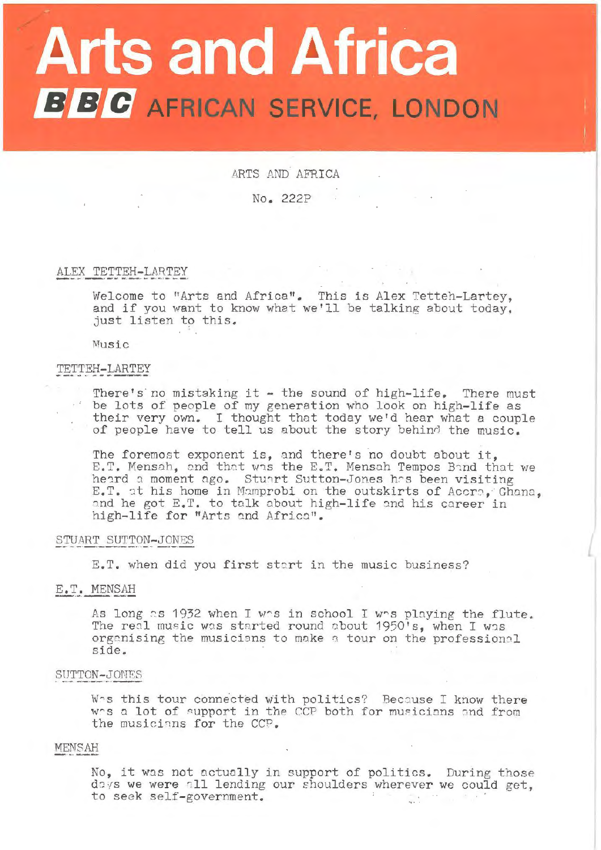# **Arts and Africa B B C** AFRICAN SERVICE, LONDON

# ARTS AND AFRICA

No. 222P

# ALEX TETTEH-LARTEY

Welcome to "Arts and Africa". This is Alex Tetteh-Lartey, and if you want to know what we'll be talking about today. just listen to this.

Music

# TETTEH-LARTEY

There's no mistaking it  $-$  the sound of high-life. There must be lots of people of my generation who look on high-life as their very own. I thought that today we'd hear what a couple of people have to tell us about the story behind the music.

The foremost exponent is, and there's no doubt about it, E.T. Mensah, and that was the E.T. Mensah Tempos Band that we heard a moment ago. Stuart Sutton-Jones has been visiting E.T. at his home in Mamprobi on the outskirts of Accre, Ghana, and he got E.T. to talk about high-life and his career in high-life for "Arts and Africa".

## STUART SUTTON-JONES

E.T. when did you first start in the music business?

# E.T. MENSAH

As long as 1932 when I was in school I was playing the flute.<br>The real music was started round about 1950's, when I was organising the musicians to make a tour on the professional side.

#### SUTTON-JONES

Whs this tour connected with politics? Because I know there whs a lot of support in the CCP both for musicians and from the musicians for the CCP.

## MEN8AH

No, it was not actually in support of politics. During those doys we were all lending our shoulders wherever we could get. to seek self-government.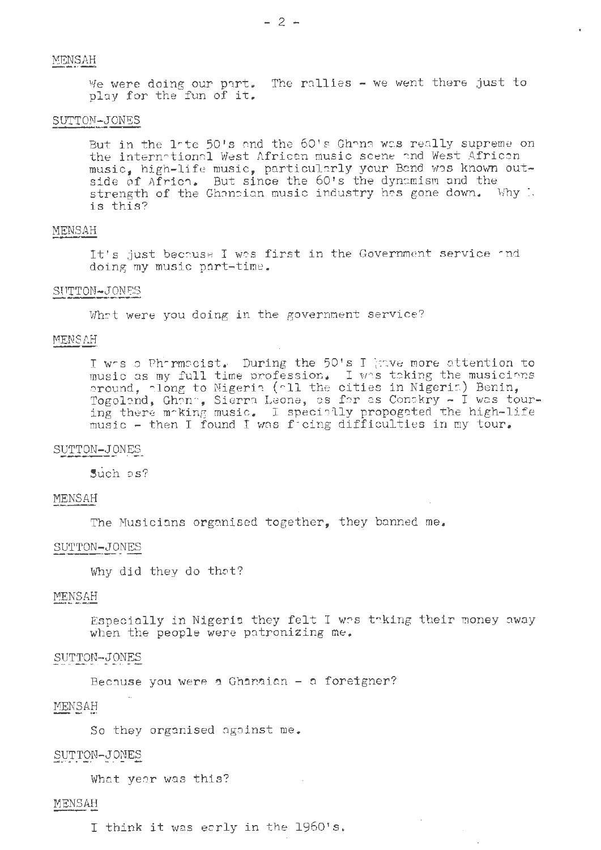We were doing our part. The rallies  $-$  we went there just to play for the fun of it.

# SUTTON-JONES

But in the late 50's and the 60's Ghann was really supreme on the international West African music scene and West African music, high-life music, particularly your Band was known outside of Africa. But since the 60's the dynamism and the strength of the Ghoncian music industry has gone down. Why i.<br>is this?

## MENSAH

It's just because I was first in the Government service and doing my music port-time .

#### SUTTON-JONBS

What were you doing in the government service?

## MENSAH

I was a Pharmocist. During the 50's I jave more attention to music as my full time profession. I was toking the musicians oround,  $\lceil$ long to Nigeria ( $\lceil$ 11 the cities in Nigeri $\lceil$ ) Benin, Togoland, Ghann, Sierra Leone, as for as Conckry - I was touring there m-king music. I specially propogated the high-life music - then I found I was ficing difficulties in my tour.

## SUTTON-JONES

Such os?

## MENSAH

The Musicians organised together, they banned me.

# SUTTON-JONES

Why did they do thot?

# MENSAH

Especially in Nigeria they felt I was taking their money away when the people were pntronizing me.

# SUTTON-JONES

Because you were a Ghanaian  $-$  a foreigner?

# MENSAH

So they organised against me.

## SUTTON-JONES

What year was this?

# MENSAH

I think it was early in the 1960's.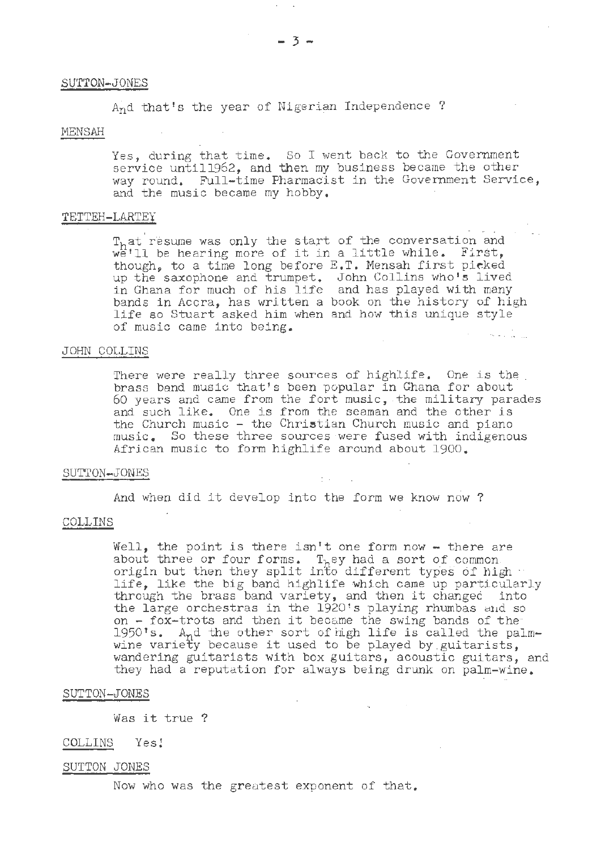#### SUTTON-JONES

And that's the year of Nigerian Independence ?

# MENSAH·

Yes, during that time. So I went back to the Government service untill962, and then my business became the other way round. Full-time Pharmacist in the Government Service, and the music became my hobby.

### TETTEH-LARTEY

 $T<sub>h</sub>$ at resume was only the start of the conversation and T<sub>h</sub>at resume was only the start of the conversation and<br>we'll be hearing more of it in a little while. First, we'll be nearing more of it in a fittle while. First,<br>though, to a time long before E.T. Mensah first picked up the saxophone and trumpet. John Collins who's lived in Ghana for much of his life and has played with many bands in Accra, has written a book on the history of high life so Stuart asked him when and how this unique style of music came into being. ا الموسيقية المناسبة المساعدة المناسبة.<br>الموسيقية المناسبة المساعدة المناسبة المناسبة المناسبة المناسبة المناسبة المناسبة

## JOHN COLLINS

There were really three sources of highlife. One is the . brass band music that's been popular in Ghana for about 60 years and came from the fort music, the military parades and such like. One is from the seaman and the other is the Church music  $-$  the Christian Church music and piano music. So these three sources were fused with indigenous African music to form highlife around about 1900.

#### SUTTON- JONES

And when did it develop into the form we know now ?

## COLLINS

Well, the point is there isn't one form now - there are about three or four forms. They had a sort of common. about three of four forms. They had a sort of common.<br>origin but then they split into different types of high ... of faint out then they append into different types of high<br>life, like the big band highlife which came up particularly<br>through the brass band variety, and then it changed into the large orchestras in the 1920's playing rhumbas and so on - fox-trots and then it became the swing bands of the 1950's. And the other sort of high life is called the palm-<br>wine variety because it used to be played by guitarists,<br>wandering guitarists with box guitars, acoustic they had a reputation for always being drunk on palm-wine.

#### SUTTON-JONES

Was it true ?

## COLLINS *Yes!*

#### SUTTON JONES

Now who was the greatest exponent of that.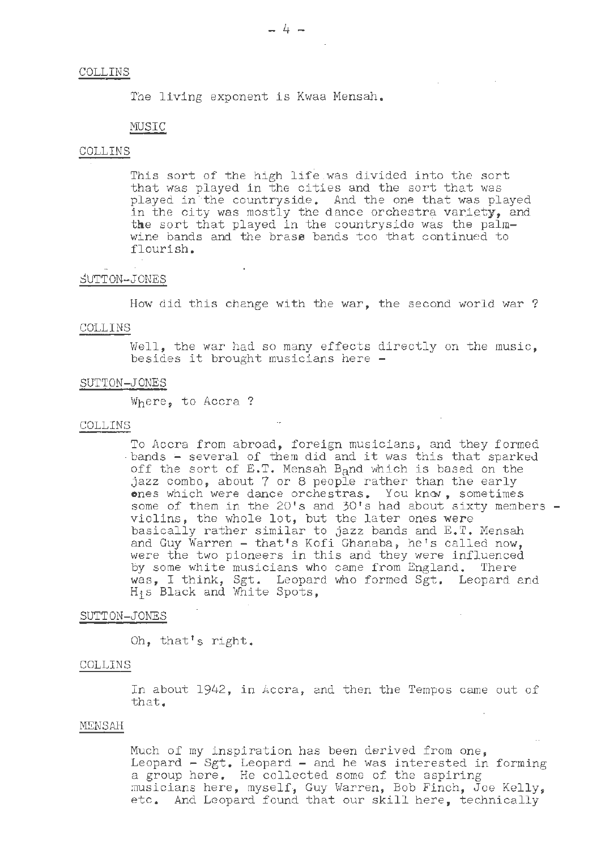## COLLINS

The living exponent is Kwaa Mensah.

# MUSIC

## COLLINS

This sort of the high life was divided into the sort that was played in the cities and the sort that was played in the countryside. And the one that was played in the city was mostly the dance orchestra variety, and the sort that played in the countryside was the palmwine bands and the brass bands too that continued to flourish.

#### SUTTON-JONES

How did this change with the war, the second world war?

#### COLLINS

Well, the war had so many effects directly on the music, besides it brought musicians here -

#### SUTTON-JONES

Where, to Accra?

#### COLLINS .

To Accra from abroad, foreign musicians, and they formed bands - several of them did and it was this that sparked off the sort of E.T. Mensah B<sub>a</sub>nd which is based on the jazz combo, about 7 or 8 people rather than the early ones which were dance orchestras. You know, sometimes some of them in the 20's and 30's had about sixty members - violins, the whole lot, but the later ones were basically rather similar to jazz bands and E.T. Mensah basically radic. Similar to yazz bands and B: refised were the two pioneers in this and they were influenced by some white musicians who came from England. There was, I think, Sgt. Leopard who formed Sgt. Leopard and His Black and White Spots,

## SUTTON-JONES

Oh, that's right.

#### COLLINS

In about 1942, in Accra, and then the Tempos came out of that.

## MENSAH

Much of my inspiration has been derived from one, Leopard  $-$  Sgt. Leopard  $-$  and he was interested in forming a group here. He collected some of the aspiring musicians here, myself, Guy Warren, Bob Finch, Joe Kelly, musicians here, myself, day waiten, bob findi, boe keily,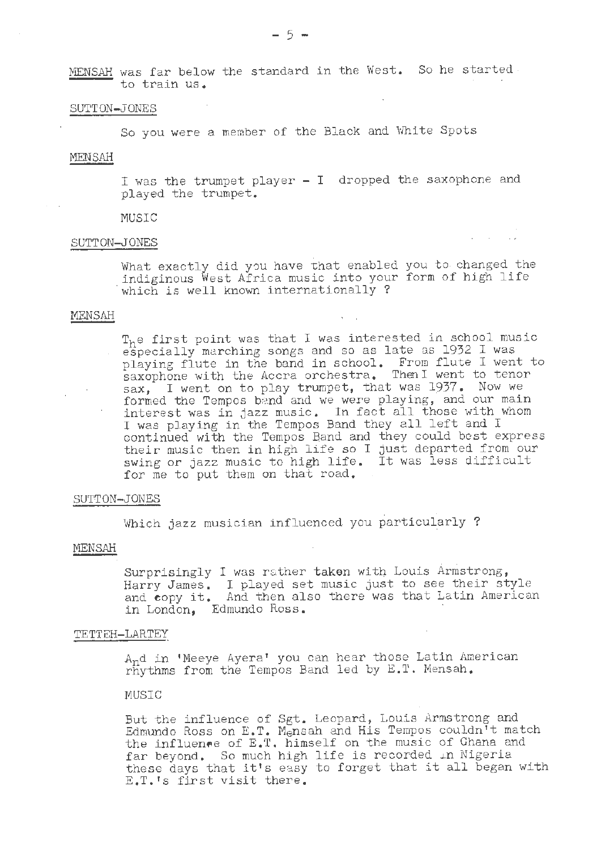MENSAH was far below the standard in the West. So he started. to train us.

# SUTTON-JONES

So you were a member of the Black and White Spots

#### MENSAH

I was the trumpet player - I dropped the saxophone and played the trumpet.

#### MUSIC

# SUTTON-JONES

What exactly did you have that enabled you to changed the indiginous West Africa music into your form of high life which is well known internationally?

#### MENSAH

T<sub>h</sub>e first point was that I was interested in school music especially marching songs and so as late as 1932 I was playing flute in the band in school. From flute I went to saxophone with the Accra orchestra. Then I went to tenor sax, I went on to play trumpet, that was 1937. Now we formed the Tempos band and we were playing, and our main interest was in jazz music. In fact all those with whom Interest was in Jazz music. In lact all those with continued with the Tempos Band and, they could best express their music then in high life *so* I just departed from our swing or jazz music to high life. It was less difficult for me to put them on that road.

## SUTTON-JONES

Which jazz musician influenced you particularly ?

## MENSAH

Surprisingly I was rather taken with Louis Armstrong, Harry James. I played set music just to see their style and **eopy** it. And then also there was that Latin American in London, Edmundo Ross.

## TETTEH-LARTEY

And in 1Meeye Ayera' you can hear those Latin American rhythms from the Tempos Band led by E.T. Mensah.

## MUSIC

But the influence of Sgt. Leopard, Louis. Armstrong and Edmundo Ross on E.T. Mensah and His Tempos couldn't match the influence of E.T. himself on the music of Ghana and far beyond. So much high life is recorded in Nigeria these days that it's easy to forget that it all began with E.T.'s first visit there.